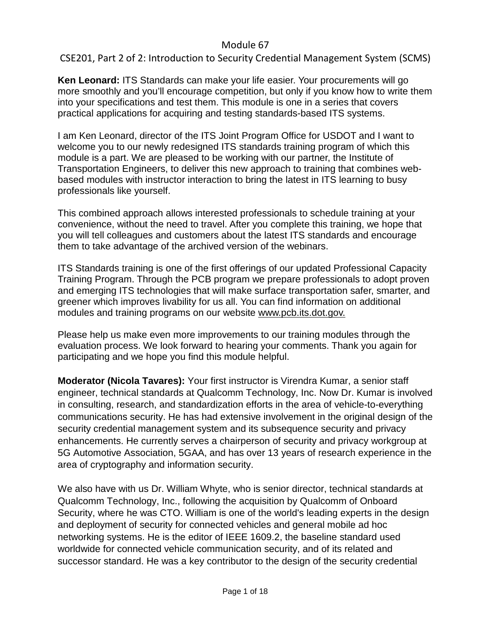### CSE201, Part 2 of 2: Introduction to Security Credential Management System (SCMS)

**Ken Leonard:** ITS Standards can make your life easier. Your procurements will go more smoothly and you'll encourage competition, but only if you know how to write them into your specifications and test them. This module is one in a series that covers practical applications for acquiring and testing standards-based ITS systems.

I am Ken Leonard, director of the ITS Joint Program Office for USDOT and I want to welcome you to our newly redesigned ITS standards training program of which this module is a part. We are pleased to be working with our partner, the Institute of Transportation Engineers, to deliver this new approach to training that combines webbased modules with instructor interaction to bring the latest in ITS learning to busy professionals like yourself.

This combined approach allows interested professionals to schedule training at your convenience, without the need to travel. After you complete this training, we hope that you will tell colleagues and customers about the latest ITS standards and encourage them to take advantage of the archived version of the webinars.

ITS Standards training is one of the first offerings of our updated Professional Capacity Training Program. Through the PCB program we prepare professionals to adopt proven and emerging ITS technologies that will make surface transportation safer, smarter, and greener which improves livability for us all. You can find information on additional modules and training programs on our website [www.pcb.its.dot.gov.](http://www.pcb.its.dot.gov/)

Please help us make even more improvements to our training modules through the evaluation process. We look forward to hearing your comments. Thank you again for participating and we hope you find this module helpful.

**Moderator (Nicola Tavares):** Your first instructor is Virendra Kumar, a senior staff engineer, technical standards at Qualcomm Technology, Inc. Now Dr. Kumar is involved in consulting, research, and standardization efforts in the area of vehicle-to-everything communications security. He has had extensive involvement in the original design of the security credential management system and its subsequence security and privacy enhancements. He currently serves a chairperson of security and privacy workgroup at 5G Automotive Association, 5GAA, and has over 13 years of research experience in the area of cryptography and information security.

We also have with us Dr. William Whyte, who is senior director, technical standards at Qualcomm Technology, Inc., following the acquisition by Qualcomm of Onboard Security, where he was CTO. William is one of the world's leading experts in the design and deployment of security for connected vehicles and general mobile ad hoc networking systems. He is the editor of IEEE 1609.2, the baseline standard used worldwide for connected vehicle communication security, and of its related and successor standard. He was a key contributor to the design of the security credential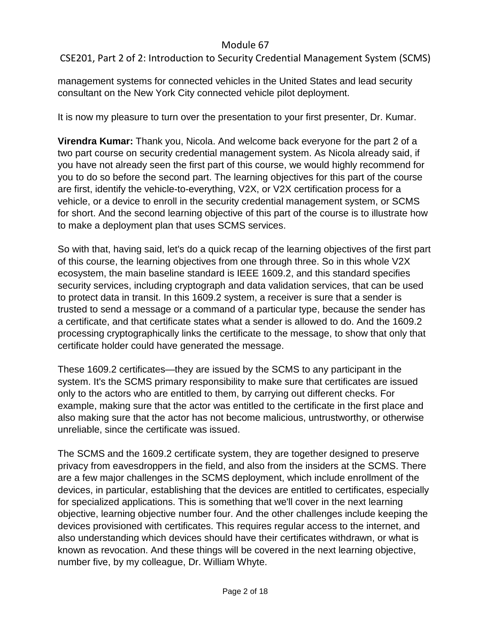# CSE201, Part 2 of 2: Introduction to Security Credential Management System (SCMS)

management systems for connected vehicles in the United States and lead security consultant on the New York City connected vehicle pilot deployment.

It is now my pleasure to turn over the presentation to your first presenter, Dr. Kumar.

**Virendra Kumar:** Thank you, Nicola. And welcome back everyone for the part 2 of a two part course on security credential management system. As Nicola already said, if you have not already seen the first part of this course, we would highly recommend for you to do so before the second part. The learning objectives for this part of the course are first, identify the vehicle-to-everything, V2X, or V2X certification process for a vehicle, or a device to enroll in the security credential management system, or SCMS for short. And the second learning objective of this part of the course is to illustrate how to make a deployment plan that uses SCMS services.

So with that, having said, let's do a quick recap of the learning objectives of the first part of this course, the learning objectives from one through three. So in this whole V2X ecosystem, the main baseline standard is IEEE 1609.2, and this standard specifies security services, including cryptograph and data validation services, that can be used to protect data in transit. In this 1609.2 system, a receiver is sure that a sender is trusted to send a message or a command of a particular type, because the sender has a certificate, and that certificate states what a sender is allowed to do. And the 1609.2 processing cryptographically links the certificate to the message, to show that only that certificate holder could have generated the message.

These 1609.2 certificates—they are issued by the SCMS to any participant in the system. It's the SCMS primary responsibility to make sure that certificates are issued only to the actors who are entitled to them, by carrying out different checks. For example, making sure that the actor was entitled to the certificate in the first place and also making sure that the actor has not become malicious, untrustworthy, or otherwise unreliable, since the certificate was issued.

The SCMS and the 1609.2 certificate system, they are together designed to preserve privacy from eavesdroppers in the field, and also from the insiders at the SCMS. There are a few major challenges in the SCMS deployment, which include enrollment of the devices, in particular, establishing that the devices are entitled to certificates, especially for specialized applications. This is something that we'll cover in the next learning objective, learning objective number four. And the other challenges include keeping the devices provisioned with certificates. This requires regular access to the internet, and also understanding which devices should have their certificates withdrawn, or what is known as revocation. And these things will be covered in the next learning objective, number five, by my colleague, Dr. William Whyte.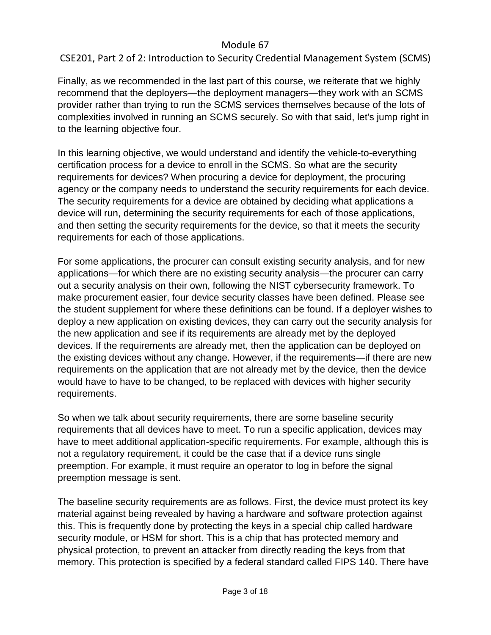# CSE201, Part 2 of 2: Introduction to Security Credential Management System (SCMS)

Finally, as we recommended in the last part of this course, we reiterate that we highly recommend that the deployers—the deployment managers—they work with an SCMS provider rather than trying to run the SCMS services themselves because of the lots of complexities involved in running an SCMS securely. So with that said, let's jump right in to the learning objective four.

In this learning objective, we would understand and identify the vehicle-to-everything certification process for a device to enroll in the SCMS. So what are the security requirements for devices? When procuring a device for deployment, the procuring agency or the company needs to understand the security requirements for each device. The security requirements for a device are obtained by deciding what applications a device will run, determining the security requirements for each of those applications, and then setting the security requirements for the device, so that it meets the security requirements for each of those applications.

For some applications, the procurer can consult existing security analysis, and for new applications—for which there are no existing security analysis—the procurer can carry out a security analysis on their own, following the NIST cybersecurity framework. To make procurement easier, four device security classes have been defined. Please see the student supplement for where these definitions can be found. If a deployer wishes to deploy a new application on existing devices, they can carry out the security analysis for the new application and see if its requirements are already met by the deployed devices. If the requirements are already met, then the application can be deployed on the existing devices without any change. However, if the requirements—if there are new requirements on the application that are not already met by the device, then the device would have to have to be changed, to be replaced with devices with higher security requirements.

So when we talk about security requirements, there are some baseline security requirements that all devices have to meet. To run a specific application, devices may have to meet additional application-specific requirements. For example, although this is not a regulatory requirement, it could be the case that if a device runs single preemption. For example, it must require an operator to log in before the signal preemption message is sent.

The baseline security requirements are as follows. First, the device must protect its key material against being revealed by having a hardware and software protection against this. This is frequently done by protecting the keys in a special chip called hardware security module, or HSM for short. This is a chip that has protected memory and physical protection, to prevent an attacker from directly reading the keys from that memory. This protection is specified by a federal standard called FIPS 140. There have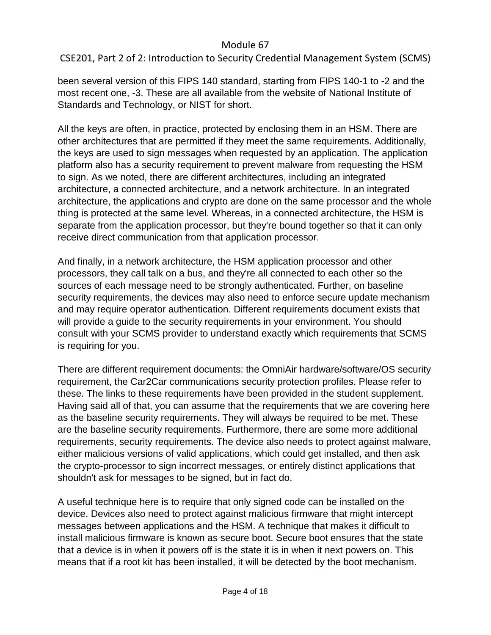CSE201, Part 2 of 2: Introduction to Security Credential Management System (SCMS)

been several version of this FIPS 140 standard, starting from FIPS 140-1 to -2 and the most recent one, -3. These are all available from the website of National Institute of Standards and Technology, or NIST for short.

All the keys are often, in practice, protected by enclosing them in an HSM. There are other architectures that are permitted if they meet the same requirements. Additionally, the keys are used to sign messages when requested by an application. The application platform also has a security requirement to prevent malware from requesting the HSM to sign. As we noted, there are different architectures, including an integrated architecture, a connected architecture, and a network architecture. In an integrated architecture, the applications and crypto are done on the same processor and the whole thing is protected at the same level. Whereas, in a connected architecture, the HSM is separate from the application processor, but they're bound together so that it can only receive direct communication from that application processor.

And finally, in a network architecture, the HSM application processor and other processors, they call talk on a bus, and they're all connected to each other so the sources of each message need to be strongly authenticated. Further, on baseline security requirements, the devices may also need to enforce secure update mechanism and may require operator authentication. Different requirements document exists that will provide a guide to the security requirements in your environment. You should consult with your SCMS provider to understand exactly which requirements that SCMS is requiring for you.

There are different requirement documents: the OmniAir hardware/software/OS security requirement, the Car2Car communications security protection profiles. Please refer to these. The links to these requirements have been provided in the student supplement. Having said all of that, you can assume that the requirements that we are covering here as the baseline security requirements. They will always be required to be met. These are the baseline security requirements. Furthermore, there are some more additional requirements, security requirements. The device also needs to protect against malware, either malicious versions of valid applications, which could get installed, and then ask the crypto-processor to sign incorrect messages, or entirely distinct applications that shouldn't ask for messages to be signed, but in fact do.

A useful technique here is to require that only signed code can be installed on the device. Devices also need to protect against malicious firmware that might intercept messages between applications and the HSM. A technique that makes it difficult to install malicious firmware is known as secure boot. Secure boot ensures that the state that a device is in when it powers off is the state it is in when it next powers on. This means that if a root kit has been installed, it will be detected by the boot mechanism.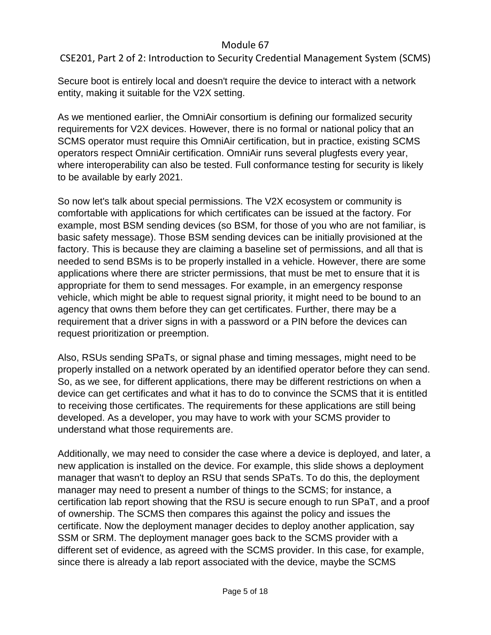# CSE201, Part 2 of 2: Introduction to Security Credential Management System (SCMS)

Secure boot is entirely local and doesn't require the device to interact with a network entity, making it suitable for the V2X setting.

As we mentioned earlier, the OmniAir consortium is defining our formalized security requirements for V2X devices. However, there is no formal or national policy that an SCMS operator must require this OmniAir certification, but in practice, existing SCMS operators respect OmniAir certification. OmniAir runs several plugfests every year, where interoperability can also be tested. Full conformance testing for security is likely to be available by early 2021.

So now let's talk about special permissions. The V2X ecosystem or community is comfortable with applications for which certificates can be issued at the factory. For example, most BSM sending devices (so BSM, for those of you who are not familiar, is basic safety message). Those BSM sending devices can be initially provisioned at the factory. This is because they are claiming a baseline set of permissions, and all that is needed to send BSMs is to be properly installed in a vehicle. However, there are some applications where there are stricter permissions, that must be met to ensure that it is appropriate for them to send messages. For example, in an emergency response vehicle, which might be able to request signal priority, it might need to be bound to an agency that owns them before they can get certificates. Further, there may be a requirement that a driver signs in with a password or a PIN before the devices can request prioritization or preemption.

Also, RSUs sending SPaTs, or signal phase and timing messages, might need to be properly installed on a network operated by an identified operator before they can send. So, as we see, for different applications, there may be different restrictions on when a device can get certificates and what it has to do to convince the SCMS that it is entitled to receiving those certificates. The requirements for these applications are still being developed. As a developer, you may have to work with your SCMS provider to understand what those requirements are.

Additionally, we may need to consider the case where a device is deployed, and later, a new application is installed on the device. For example, this slide shows a deployment manager that wasn't to deploy an RSU that sends SPaTs. To do this, the deployment manager may need to present a number of things to the SCMS; for instance, a certification lab report showing that the RSU is secure enough to run SPaT, and a proof of ownership. The SCMS then compares this against the policy and issues the certificate. Now the deployment manager decides to deploy another application, say SSM or SRM. The deployment manager goes back to the SCMS provider with a different set of evidence, as agreed with the SCMS provider. In this case, for example, since there is already a lab report associated with the device, maybe the SCMS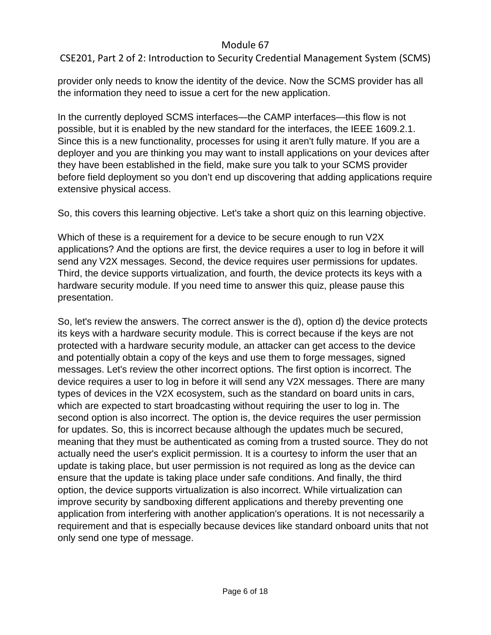# CSE201, Part 2 of 2: Introduction to Security Credential Management System (SCMS)

provider only needs to know the identity of the device. Now the SCMS provider has all the information they need to issue a cert for the new application.

In the currently deployed SCMS interfaces—the CAMP interfaces—this flow is not possible, but it is enabled by the new standard for the interfaces, the IEEE 1609.2.1. Since this is a new functionality, processes for using it aren't fully mature. If you are a deployer and you are thinking you may want to install applications on your devices after they have been established in the field, make sure you talk to your SCMS provider before field deployment so you don't end up discovering that adding applications require extensive physical access.

So, this covers this learning objective. Let's take a short quiz on this learning objective.

Which of these is a requirement for a device to be secure enough to run V2X applications? And the options are first, the device requires a user to log in before it will send any V2X messages. Second, the device requires user permissions for updates. Third, the device supports virtualization, and fourth, the device protects its keys with a hardware security module. If you need time to answer this quiz, please pause this presentation.

So, let's review the answers. The correct answer is the d), option d) the device protects its keys with a hardware security module. This is correct because if the keys are not protected with a hardware security module, an attacker can get access to the device and potentially obtain a copy of the keys and use them to forge messages, signed messages. Let's review the other incorrect options. The first option is incorrect. The device requires a user to log in before it will send any V2X messages. There are many types of devices in the V2X ecosystem, such as the standard on board units in cars, which are expected to start broadcasting without requiring the user to log in. The second option is also incorrect. The option is, the device requires the user permission for updates. So, this is incorrect because although the updates much be secured, meaning that they must be authenticated as coming from a trusted source. They do not actually need the user's explicit permission. It is a courtesy to inform the user that an update is taking place, but user permission is not required as long as the device can ensure that the update is taking place under safe conditions. And finally, the third option, the device supports virtualization is also incorrect. While virtualization can improve security by sandboxing different applications and thereby preventing one application from interfering with another application's operations. It is not necessarily a requirement and that is especially because devices like standard onboard units that not only send one type of message.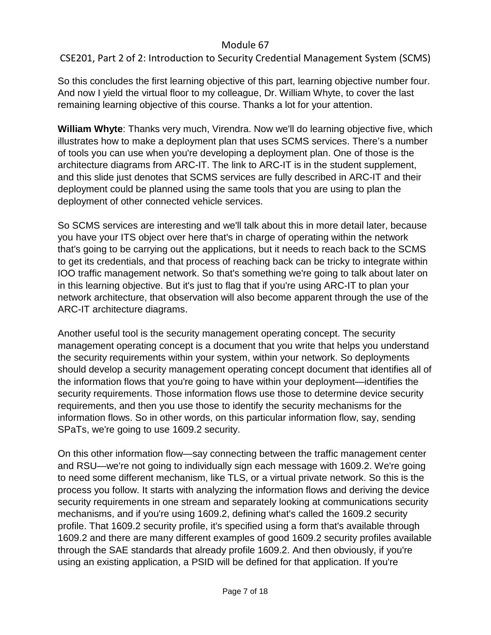# CSE201, Part 2 of 2: Introduction to Security Credential Management System (SCMS)

So this concludes the first learning objective of this part, learning objective number four. And now I yield the virtual floor to my colleague, Dr. William Whyte, to cover the last remaining learning objective of this course. Thanks a lot for your attention.

**William Whyte**: Thanks very much, Virendra. Now we'll do learning objective five, which illustrates how to make a deployment plan that uses SCMS services. There's a number of tools you can use when you're developing a deployment plan. One of those is the architecture diagrams from ARC-IT. The link to ARC-IT is in the student supplement, and this slide just denotes that SCMS services are fully described in ARC-IT and their deployment could be planned using the same tools that you are using to plan the deployment of other connected vehicle services.

So SCMS services are interesting and we'll talk about this in more detail later, because you have your ITS object over here that's in charge of operating within the network that's going to be carrying out the applications, but it needs to reach back to the SCMS to get its credentials, and that process of reaching back can be tricky to integrate within IOO traffic management network. So that's something we're going to talk about later on in this learning objective. But it's just to flag that if you're using ARC-IT to plan your network architecture, that observation will also become apparent through the use of the ARC-IT architecture diagrams.

Another useful tool is the security management operating concept. The security management operating concept is a document that you write that helps you understand the security requirements within your system, within your network. So deployments should develop a security management operating concept document that identifies all of the information flows that you're going to have within your deployment—identifies the security requirements. Those information flows use those to determine device security requirements, and then you use those to identify the security mechanisms for the information flows. So in other words, on this particular information flow, say, sending SPaTs, we're going to use 1609.2 security.

On this other information flow—say connecting between the traffic management center and RSU—we're not going to individually sign each message with 1609.2. We're going to need some different mechanism, like TLS, or a virtual private network. So this is the process you follow. It starts with analyzing the information flows and deriving the device security requirements in one stream and separately looking at communications security mechanisms, and if you're using 1609.2, defining what's called the 1609.2 security profile. That 1609.2 security profile, it's specified using a form that's available through 1609.2 and there are many different examples of good 1609.2 security profiles available through the SAE standards that already profile 1609.2. And then obviously, if you're using an existing application, a PSID will be defined for that application. If you're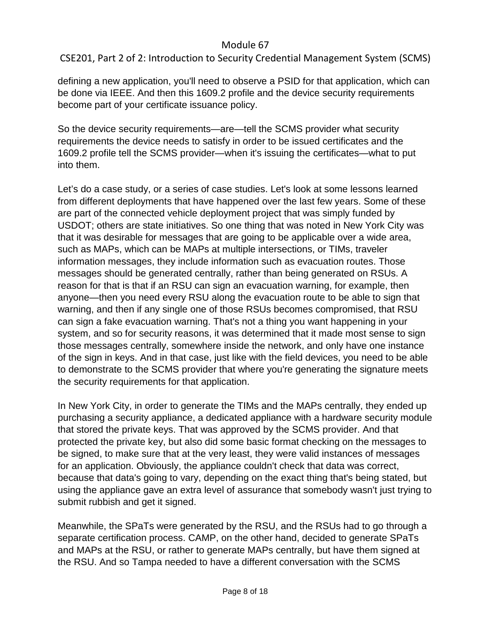CSE201, Part 2 of 2: Introduction to Security Credential Management System (SCMS)

defining a new application, you'll need to observe a PSID for that application, which can be done via IEEE. And then this 1609.2 profile and the device security requirements become part of your certificate issuance policy.

So the device security requirements—are—tell the SCMS provider what security requirements the device needs to satisfy in order to be issued certificates and the 1609.2 profile tell the SCMS provider—when it's issuing the certificates—what to put into them.

Let's do a case study, or a series of case studies. Let's look at some lessons learned from different deployments that have happened over the last few years. Some of these are part of the connected vehicle deployment project that was simply funded by USDOT; others are state initiatives. So one thing that was noted in New York City was that it was desirable for messages that are going to be applicable over a wide area, such as MAPs, which can be MAPs at multiple intersections, or TIMs, traveler information messages, they include information such as evacuation routes. Those messages should be generated centrally, rather than being generated on RSUs. A reason for that is that if an RSU can sign an evacuation warning, for example, then anyone—then you need every RSU along the evacuation route to be able to sign that warning, and then if any single one of those RSUs becomes compromised, that RSU can sign a fake evacuation warning. That's not a thing you want happening in your system, and so for security reasons, it was determined that it made most sense to sign those messages centrally, somewhere inside the network, and only have one instance of the sign in keys. And in that case, just like with the field devices, you need to be able to demonstrate to the SCMS provider that where you're generating the signature meets the security requirements for that application.

In New York City, in order to generate the TIMs and the MAPs centrally, they ended up purchasing a security appliance, a dedicated appliance with a hardware security module that stored the private keys. That was approved by the SCMS provider. And that protected the private key, but also did some basic format checking on the messages to be signed, to make sure that at the very least, they were valid instances of messages for an application. Obviously, the appliance couldn't check that data was correct, because that data's going to vary, depending on the exact thing that's being stated, but using the appliance gave an extra level of assurance that somebody wasn't just trying to submit rubbish and get it signed.

Meanwhile, the SPaTs were generated by the RSU, and the RSUs had to go through a separate certification process. CAMP, on the other hand, decided to generate SPaTs and MAPs at the RSU, or rather to generate MAPs centrally, but have them signed at the RSU. And so Tampa needed to have a different conversation with the SCMS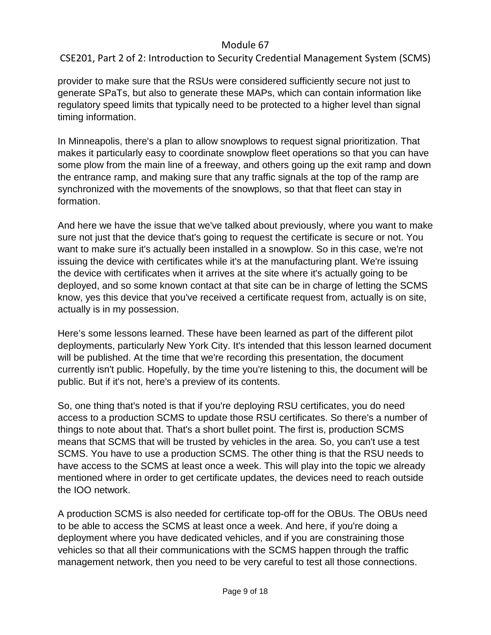# CSE201, Part 2 of 2: Introduction to Security Credential Management System (SCMS)

provider to make sure that the RSUs were considered sufficiently secure not just to generate SPaTs, but also to generate these MAPs, which can contain information like regulatory speed limits that typically need to be protected to a higher level than signal timing information.

In Minneapolis, there's a plan to allow snowplows to request signal prioritization. That makes it particularly easy to coordinate snowplow fleet operations so that you can have some plow from the main line of a freeway, and others going up the exit ramp and down the entrance ramp, and making sure that any traffic signals at the top of the ramp are synchronized with the movements of the snowplows, so that that fleet can stay in formation.

And here we have the issue that we've talked about previously, where you want to make sure not just that the device that's going to request the certificate is secure or not. You want to make sure it's actually been installed in a snowplow. So in this case, we're not issuing the device with certificates while it's at the manufacturing plant. We're issuing the device with certificates when it arrives at the site where it's actually going to be deployed, and so some known contact at that site can be in charge of letting the SCMS know, yes this device that you've received a certificate request from, actually is on site, actually is in my possession.

Here's some lessons learned. These have been learned as part of the different pilot deployments, particularly New York City. It's intended that this lesson learned document will be published. At the time that we're recording this presentation, the document currently isn't public. Hopefully, by the time you're listening to this, the document will be public. But if it's not, here's a preview of its contents.

So, one thing that's noted is that if you're deploying RSU certificates, you do need access to a production SCMS to update those RSU certificates. So there's a number of things to note about that. That's a short bullet point. The first is, production SCMS means that SCMS that will be trusted by vehicles in the area. So, you can't use a test SCMS. You have to use a production SCMS. The other thing is that the RSU needs to have access to the SCMS at least once a week. This will play into the topic we already mentioned where in order to get certificate updates, the devices need to reach outside the IOO network.

A production SCMS is also needed for certificate top-off for the OBUs. The OBUs need to be able to access the SCMS at least once a week. And here, if you're doing a deployment where you have dedicated vehicles, and if you are constraining those vehicles so that all their communications with the SCMS happen through the traffic management network, then you need to be very careful to test all those connections.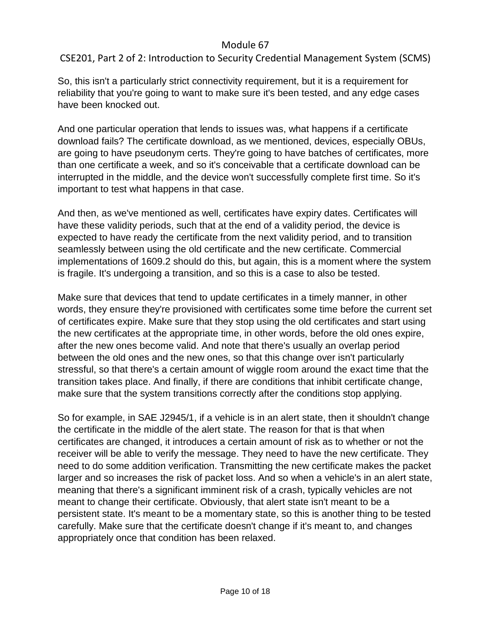CSE201, Part 2 of 2: Introduction to Security Credential Management System (SCMS)

So, this isn't a particularly strict connectivity requirement, but it is a requirement for reliability that you're going to want to make sure it's been tested, and any edge cases have been knocked out.

And one particular operation that lends to issues was, what happens if a certificate download fails? The certificate download, as we mentioned, devices, especially OBUs, are going to have pseudonym certs. They're going to have batches of certificates, more than one certificate a week, and so it's conceivable that a certificate download can be interrupted in the middle, and the device won't successfully complete first time. So it's important to test what happens in that case.

And then, as we've mentioned as well, certificates have expiry dates. Certificates will have these validity periods, such that at the end of a validity period, the device is expected to have ready the certificate from the next validity period, and to transition seamlessly between using the old certificate and the new certificate. Commercial implementations of 1609.2 should do this, but again, this is a moment where the system is fragile. It's undergoing a transition, and so this is a case to also be tested.

Make sure that devices that tend to update certificates in a timely manner, in other words, they ensure they're provisioned with certificates some time before the current set of certificates expire. Make sure that they stop using the old certificates and start using the new certificates at the appropriate time, in other words, before the old ones expire, after the new ones become valid. And note that there's usually an overlap period between the old ones and the new ones, so that this change over isn't particularly stressful, so that there's a certain amount of wiggle room around the exact time that the transition takes place. And finally, if there are conditions that inhibit certificate change, make sure that the system transitions correctly after the conditions stop applying.

So for example, in SAE J2945/1, if a vehicle is in an alert state, then it shouldn't change the certificate in the middle of the alert state. The reason for that is that when certificates are changed, it introduces a certain amount of risk as to whether or not the receiver will be able to verify the message. They need to have the new certificate. They need to do some addition verification. Transmitting the new certificate makes the packet larger and so increases the risk of packet loss. And so when a vehicle's in an alert state, meaning that there's a significant imminent risk of a crash, typically vehicles are not meant to change their certificate. Obviously, that alert state isn't meant to be a persistent state. It's meant to be a momentary state, so this is another thing to be tested carefully. Make sure that the certificate doesn't change if it's meant to, and changes appropriately once that condition has been relaxed.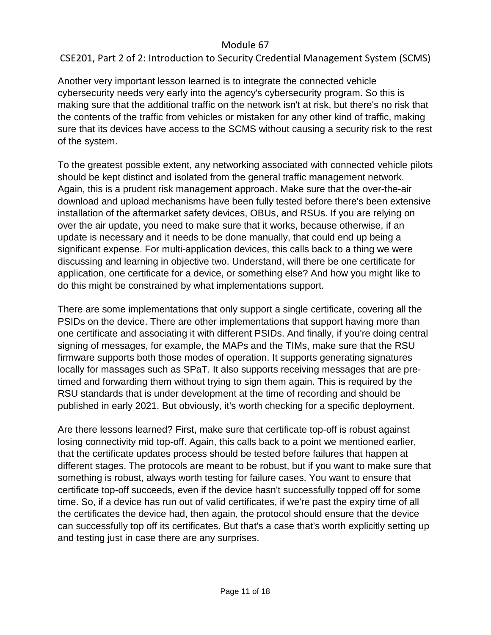# CSE201, Part 2 of 2: Introduction to Security Credential Management System (SCMS)

Another very important lesson learned is to integrate the connected vehicle cybersecurity needs very early into the agency's cybersecurity program. So this is making sure that the additional traffic on the network isn't at risk, but there's no risk that the contents of the traffic from vehicles or mistaken for any other kind of traffic, making sure that its devices have access to the SCMS without causing a security risk to the rest of the system.

To the greatest possible extent, any networking associated with connected vehicle pilots should be kept distinct and isolated from the general traffic management network. Again, this is a prudent risk management approach. Make sure that the over-the-air download and upload mechanisms have been fully tested before there's been extensive installation of the aftermarket safety devices, OBUs, and RSUs. If you are relying on over the air update, you need to make sure that it works, because otherwise, if an update is necessary and it needs to be done manually, that could end up being a significant expense. For multi-application devices, this calls back to a thing we were discussing and learning in objective two. Understand, will there be one certificate for application, one certificate for a device, or something else? And how you might like to do this might be constrained by what implementations support.

There are some implementations that only support a single certificate, covering all the PSIDs on the device. There are other implementations that support having more than one certificate and associating it with different PSIDs. And finally, if you're doing central signing of messages, for example, the MAPs and the TIMs, make sure that the RSU firmware supports both those modes of operation. It supports generating signatures locally for massages such as SPaT. It also supports receiving messages that are pretimed and forwarding them without trying to sign them again. This is required by the RSU standards that is under development at the time of recording and should be published in early 2021. But obviously, it's worth checking for a specific deployment.

Are there lessons learned? First, make sure that certificate top-off is robust against losing connectivity mid top-off. Again, this calls back to a point we mentioned earlier, that the certificate updates process should be tested before failures that happen at different stages. The protocols are meant to be robust, but if you want to make sure that something is robust, always worth testing for failure cases. You want to ensure that certificate top-off succeeds, even if the device hasn't successfully topped off for some time. So, if a device has run out of valid certificates, if we're past the expiry time of all the certificates the device had, then again, the protocol should ensure that the device can successfully top off its certificates. But that's a case that's worth explicitly setting up and testing just in case there are any surprises.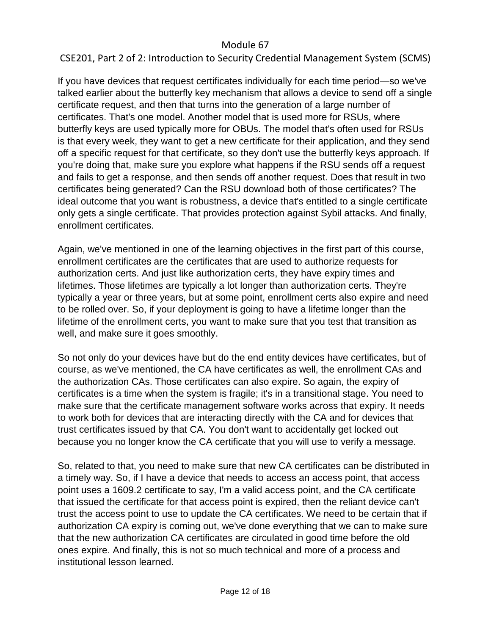## CSE201, Part 2 of 2: Introduction to Security Credential Management System (SCMS)

If you have devices that request certificates individually for each time period—so we've talked earlier about the butterfly key mechanism that allows a device to send off a single certificate request, and then that turns into the generation of a large number of certificates. That's one model. Another model that is used more for RSUs, where butterfly keys are used typically more for OBUs. The model that's often used for RSUs is that every week, they want to get a new certificate for their application, and they send off a specific request for that certificate, so they don't use the butterfly keys approach. If you're doing that, make sure you explore what happens if the RSU sends off a request and fails to get a response, and then sends off another request. Does that result in two certificates being generated? Can the RSU download both of those certificates? The ideal outcome that you want is robustness, a device that's entitled to a single certificate only gets a single certificate. That provides protection against Sybil attacks. And finally, enrollment certificates.

Again, we've mentioned in one of the learning objectives in the first part of this course, enrollment certificates are the certificates that are used to authorize requests for authorization certs. And just like authorization certs, they have expiry times and lifetimes. Those lifetimes are typically a lot longer than authorization certs. They're typically a year or three years, but at some point, enrollment certs also expire and need to be rolled over. So, if your deployment is going to have a lifetime longer than the lifetime of the enrollment certs, you want to make sure that you test that transition as well, and make sure it goes smoothly.

So not only do your devices have but do the end entity devices have certificates, but of course, as we've mentioned, the CA have certificates as well, the enrollment CAs and the authorization CAs. Those certificates can also expire. So again, the expiry of certificates is a time when the system is fragile; it's in a transitional stage. You need to make sure that the certificate management software works across that expiry. It needs to work both for devices that are interacting directly with the CA and for devices that trust certificates issued by that CA. You don't want to accidentally get locked out because you no longer know the CA certificate that you will use to verify a message.

So, related to that, you need to make sure that new CA certificates can be distributed in a timely way. So, if I have a device that needs to access an access point, that access point uses a 1609.2 certificate to say, I'm a valid access point, and the CA certificate that issued the certificate for that access point is expired, then the reliant device can't trust the access point to use to update the CA certificates. We need to be certain that if authorization CA expiry is coming out, we've done everything that we can to make sure that the new authorization CA certificates are circulated in good time before the old ones expire. And finally, this is not so much technical and more of a process and institutional lesson learned.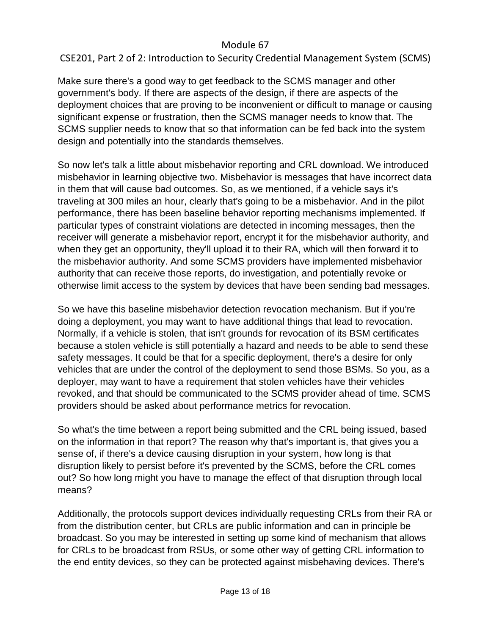# CSE201, Part 2 of 2: Introduction to Security Credential Management System (SCMS)

Make sure there's a good way to get feedback to the SCMS manager and other government's body. If there are aspects of the design, if there are aspects of the deployment choices that are proving to be inconvenient or difficult to manage or causing significant expense or frustration, then the SCMS manager needs to know that. The SCMS supplier needs to know that so that information can be fed back into the system design and potentially into the standards themselves.

So now let's talk a little about misbehavior reporting and CRL download. We introduced misbehavior in learning objective two. Misbehavior is messages that have incorrect data in them that will cause bad outcomes. So, as we mentioned, if a vehicle says it's traveling at 300 miles an hour, clearly that's going to be a misbehavior. And in the pilot performance, there has been baseline behavior reporting mechanisms implemented. If particular types of constraint violations are detected in incoming messages, then the receiver will generate a misbehavior report, encrypt it for the misbehavior authority, and when they get an opportunity, they'll upload it to their RA, which will then forward it to the misbehavior authority. And some SCMS providers have implemented misbehavior authority that can receive those reports, do investigation, and potentially revoke or otherwise limit access to the system by devices that have been sending bad messages.

So we have this baseline misbehavior detection revocation mechanism. But if you're doing a deployment, you may want to have additional things that lead to revocation. Normally, if a vehicle is stolen, that isn't grounds for revocation of its BSM certificates because a stolen vehicle is still potentially a hazard and needs to be able to send these safety messages. It could be that for a specific deployment, there's a desire for only vehicles that are under the control of the deployment to send those BSMs. So you, as a deployer, may want to have a requirement that stolen vehicles have their vehicles revoked, and that should be communicated to the SCMS provider ahead of time. SCMS providers should be asked about performance metrics for revocation.

So what's the time between a report being submitted and the CRL being issued, based on the information in that report? The reason why that's important is, that gives you a sense of, if there's a device causing disruption in your system, how long is that disruption likely to persist before it's prevented by the SCMS, before the CRL comes out? So how long might you have to manage the effect of that disruption through local means?

Additionally, the protocols support devices individually requesting CRLs from their RA or from the distribution center, but CRLs are public information and can in principle be broadcast. So you may be interested in setting up some kind of mechanism that allows for CRLs to be broadcast from RSUs, or some other way of getting CRL information to the end entity devices, so they can be protected against misbehaving devices. There's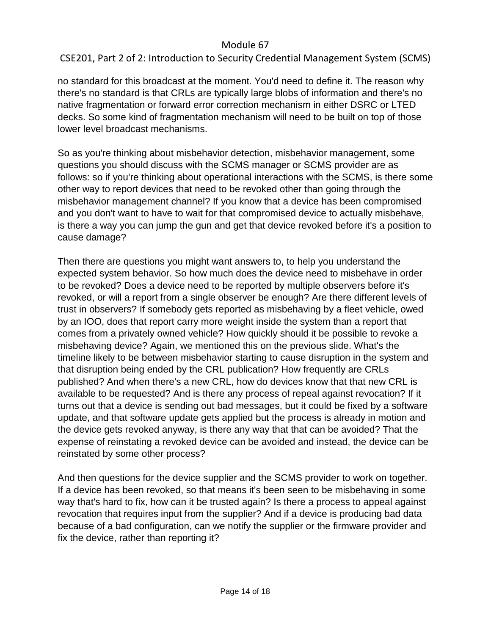# CSE201, Part 2 of 2: Introduction to Security Credential Management System (SCMS)

no standard for this broadcast at the moment. You'd need to define it. The reason why there's no standard is that CRLs are typically large blobs of information and there's no native fragmentation or forward error correction mechanism in either DSRC or LTED decks. So some kind of fragmentation mechanism will need to be built on top of those lower level broadcast mechanisms.

So as you're thinking about misbehavior detection, misbehavior management, some questions you should discuss with the SCMS manager or SCMS provider are as follows: so if you're thinking about operational interactions with the SCMS, is there some other way to report devices that need to be revoked other than going through the misbehavior management channel? If you know that a device has been compromised and you don't want to have to wait for that compromised device to actually misbehave, is there a way you can jump the gun and get that device revoked before it's a position to cause damage?

Then there are questions you might want answers to, to help you understand the expected system behavior. So how much does the device need to misbehave in order to be revoked? Does a device need to be reported by multiple observers before it's revoked, or will a report from a single observer be enough? Are there different levels of trust in observers? If somebody gets reported as misbehaving by a fleet vehicle, owed by an IOO, does that report carry more weight inside the system than a report that comes from a privately owned vehicle? How quickly should it be possible to revoke a misbehaving device? Again, we mentioned this on the previous slide. What's the timeline likely to be between misbehavior starting to cause disruption in the system and that disruption being ended by the CRL publication? How frequently are CRLs published? And when there's a new CRL, how do devices know that that new CRL is available to be requested? And is there any process of repeal against revocation? If it turns out that a device is sending out bad messages, but it could be fixed by a software update, and that software update gets applied but the process is already in motion and the device gets revoked anyway, is there any way that that can be avoided? That the expense of reinstating a revoked device can be avoided and instead, the device can be reinstated by some other process?

And then questions for the device supplier and the SCMS provider to work on together. If a device has been revoked, so that means it's been seen to be misbehaving in some way that's hard to fix, how can it be trusted again? Is there a process to appeal against revocation that requires input from the supplier? And if a device is producing bad data because of a bad configuration, can we notify the supplier or the firmware provider and fix the device, rather than reporting it?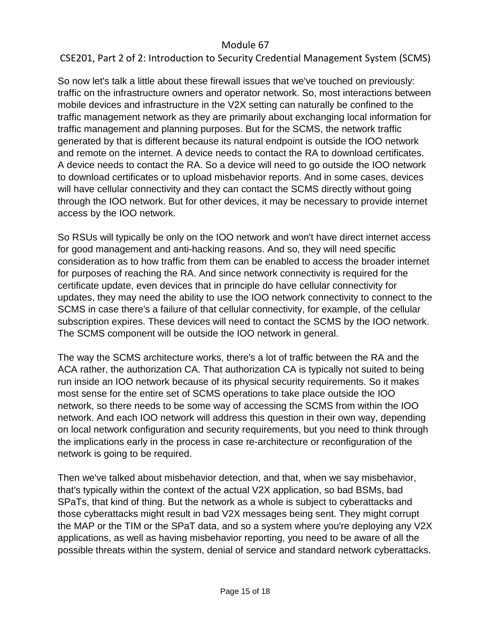## CSE201, Part 2 of 2: Introduction to Security Credential Management System (SCMS)

So now let's talk a little about these firewall issues that we've touched on previously: traffic on the infrastructure owners and operator network. So, most interactions between mobile devices and infrastructure in the V2X setting can naturally be confined to the traffic management network as they are primarily about exchanging local information for traffic management and planning purposes. But for the SCMS, the network traffic generated by that is different because its natural endpoint is outside the IOO network and remote on the internet. A device needs to contact the RA to download certificates. A device needs to contact the RA. So a device will need to go outside the IOO network to download certificates or to upload misbehavior reports. And in some cases, devices will have cellular connectivity and they can contact the SCMS directly without going through the IOO network. But for other devices, it may be necessary to provide internet access by the IOO network.

So RSUs will typically be only on the IOO network and won't have direct internet access for good management and anti-hacking reasons. And so, they will need specific consideration as to how traffic from them can be enabled to access the broader internet for purposes of reaching the RA. And since network connectivity is required for the certificate update, even devices that in principle do have cellular connectivity for updates, they may need the ability to use the IOO network connectivity to connect to the SCMS in case there's a failure of that cellular connectivity, for example, of the cellular subscription expires. These devices will need to contact the SCMS by the IOO network. The SCMS component will be outside the IOO network in general.

The way the SCMS architecture works, there's a lot of traffic between the RA and the ACA rather, the authorization CA. That authorization CA is typically not suited to being run inside an IOO network because of its physical security requirements. So it makes most sense for the entire set of SCMS operations to take place outside the IOO network, so there needs to be some way of accessing the SCMS from within the IOO network. And each IOO network will address this question in their own way, depending on local network configuration and security requirements, but you need to think through the implications early in the process in case re-architecture or reconfiguration of the network is going to be required.

Then we've talked about misbehavior detection, and that, when we say misbehavior, that's typically within the context of the actual V2X application, so bad BSMs, bad SPaTs, that kind of thing. But the network as a whole is subject to cyberattacks and those cyberattacks might result in bad V2X messages being sent. They might corrupt the MAP or the TIM or the SPaT data, and so a system where you're deploying any V2X applications, as well as having misbehavior reporting, you need to be aware of all the possible threats within the system, denial of service and standard network cyberattacks.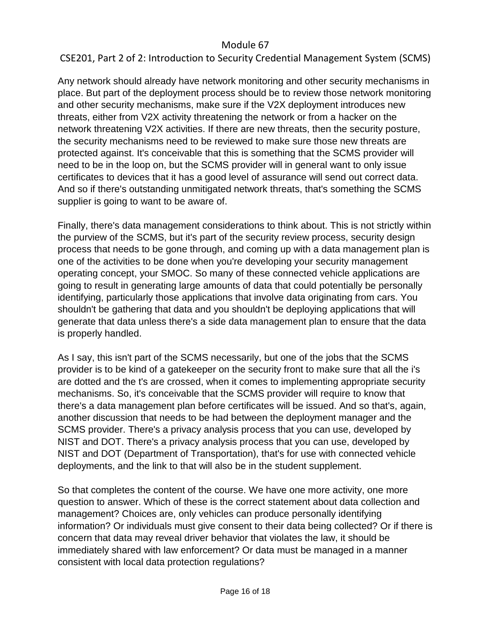# CSE201, Part 2 of 2: Introduction to Security Credential Management System (SCMS)

Any network should already have network monitoring and other security mechanisms in place. But part of the deployment process should be to review those network monitoring and other security mechanisms, make sure if the V2X deployment introduces new threats, either from V2X activity threatening the network or from a hacker on the network threatening V2X activities. If there are new threats, then the security posture, the security mechanisms need to be reviewed to make sure those new threats are protected against. It's conceivable that this is something that the SCMS provider will need to be in the loop on, but the SCMS provider will in general want to only issue certificates to devices that it has a good level of assurance will send out correct data. And so if there's outstanding unmitigated network threats, that's something the SCMS supplier is going to want to be aware of.

Finally, there's data management considerations to think about. This is not strictly within the purview of the SCMS, but it's part of the security review process, security design process that needs to be gone through, and coming up with a data management plan is one of the activities to be done when you're developing your security management operating concept, your SMOC. So many of these connected vehicle applications are going to result in generating large amounts of data that could potentially be personally identifying, particularly those applications that involve data originating from cars. You shouldn't be gathering that data and you shouldn't be deploying applications that will generate that data unless there's a side data management plan to ensure that the data is properly handled.

As I say, this isn't part of the SCMS necessarily, but one of the jobs that the SCMS provider is to be kind of a gatekeeper on the security front to make sure that all the i's are dotted and the t's are crossed, when it comes to implementing appropriate security mechanisms. So, it's conceivable that the SCMS provider will require to know that there's a data management plan before certificates will be issued. And so that's, again, another discussion that needs to be had between the deployment manager and the SCMS provider. There's a privacy analysis process that you can use, developed by NIST and DOT. There's a privacy analysis process that you can use, developed by NIST and DOT (Department of Transportation), that's for use with connected vehicle deployments, and the link to that will also be in the student supplement.

So that completes the content of the course. We have one more activity, one more question to answer. Which of these is the correct statement about data collection and management? Choices are, only vehicles can produce personally identifying information? Or individuals must give consent to their data being collected? Or if there is concern that data may reveal driver behavior that violates the law, it should be immediately shared with law enforcement? Or data must be managed in a manner consistent with local data protection regulations?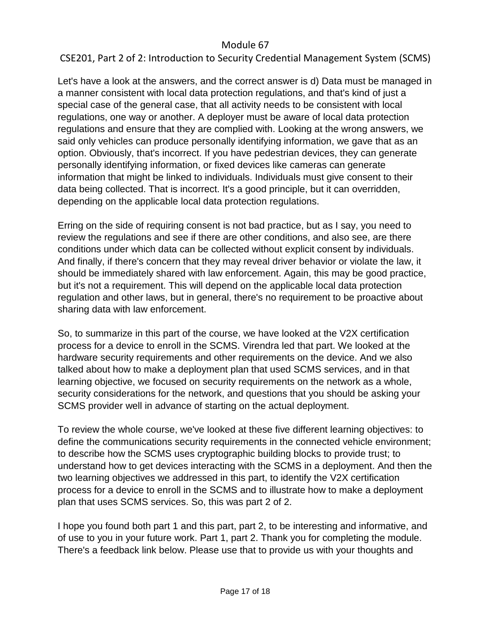## CSE201, Part 2 of 2: Introduction to Security Credential Management System (SCMS)

Let's have a look at the answers, and the correct answer is d) Data must be managed in a manner consistent with local data protection regulations, and that's kind of just a special case of the general case, that all activity needs to be consistent with local regulations, one way or another. A deployer must be aware of local data protection regulations and ensure that they are complied with. Looking at the wrong answers, we said only vehicles can produce personally identifying information, we gave that as an option. Obviously, that's incorrect. If you have pedestrian devices, they can generate personally identifying information, or fixed devices like cameras can generate information that might be linked to individuals. Individuals must give consent to their data being collected. That is incorrect. It's a good principle, but it can overridden, depending on the applicable local data protection regulations.

Erring on the side of requiring consent is not bad practice, but as I say, you need to review the regulations and see if there are other conditions, and also see, are there conditions under which data can be collected without explicit consent by individuals. And finally, if there's concern that they may reveal driver behavior or violate the law, it should be immediately shared with law enforcement. Again, this may be good practice, but it's not a requirement. This will depend on the applicable local data protection regulation and other laws, but in general, there's no requirement to be proactive about sharing data with law enforcement.

So, to summarize in this part of the course, we have looked at the V2X certification process for a device to enroll in the SCMS. Virendra led that part. We looked at the hardware security requirements and other requirements on the device. And we also talked about how to make a deployment plan that used SCMS services, and in that learning objective, we focused on security requirements on the network as a whole, security considerations for the network, and questions that you should be asking your SCMS provider well in advance of starting on the actual deployment.

To review the whole course, we've looked at these five different learning objectives: to define the communications security requirements in the connected vehicle environment; to describe how the SCMS uses cryptographic building blocks to provide trust; to understand how to get devices interacting with the SCMS in a deployment. And then the two learning objectives we addressed in this part, to identify the V2X certification process for a device to enroll in the SCMS and to illustrate how to make a deployment plan that uses SCMS services. So, this was part 2 of 2.

I hope you found both part 1 and this part, part 2, to be interesting and informative, and of use to you in your future work. Part 1, part 2. Thank you for completing the module. There's a feedback link below. Please use that to provide us with your thoughts and